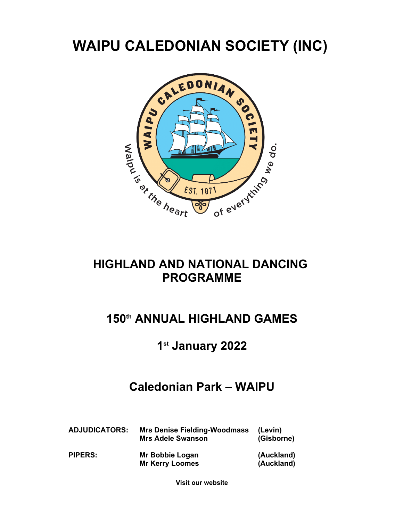# **WAIPU CALEDONIAN SOCIETY (INC)**



### **HIGHLAND AND NATIONAL DANCING PROGRAMME**

## **150th ANNUAL HIGHLAND GAMES**

### **1 st January 2022**

### **Caledonian Park – WAIPU**

| <b>ADJUDICATORS:</b> | <b>Mrs Denise Fielding-Woodmass</b><br><b>Mrs Adele Swanson</b> | (Levin)<br>(Gisborne)    |
|----------------------|-----------------------------------------------------------------|--------------------------|
| <b>PIPERS:</b>       | Mr Bobbie Logan<br><b>Mr Kerry Loomes</b>                       | (Auckland)<br>(Auckland) |

**Visit our website**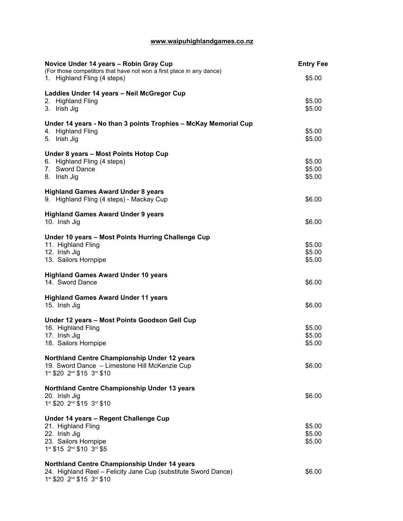### **www.waipuhighlandgames.co.nz**

| Novice Under 14 years - Robin Gray Cup<br>(For those competitors that have not won a first place in any dance) | <b>Entry Fee</b> |
|----------------------------------------------------------------------------------------------------------------|------------------|
| 1. Highland Fling (4 steps)                                                                                    | \$5.00           |
| Laddies Under 14 years - Neil McGregor Cup                                                                     |                  |
| 2. Highland Fling                                                                                              | \$5.00           |
| 3. Irish Jig                                                                                                   | \$5.00           |
| Under 14 years - No than 3 points Trophies - McKay Memorial Cup                                                |                  |
| 4. Highland Fling                                                                                              | \$5.00           |
| 5. Irish Jig                                                                                                   | \$5.00           |
| Under 8 years - Most Points Hotop Cup                                                                          |                  |
| 6. Highland Fling (4 steps)                                                                                    | \$5.00           |
| 7. Sword Dance<br>8. Irish Jig                                                                                 | \$5.00<br>\$5.00 |
|                                                                                                                |                  |
| <b>Highland Games Award Under 8 years</b>                                                                      |                  |
| 9. Highland Fling (4 steps) - Mackay Cup                                                                       | \$6.00           |
| <b>Highland Games Award Under 9 years</b>                                                                      |                  |
| 10. Irish Jig                                                                                                  | \$6.00           |
| Under 10 years - Most Points Hurring Challenge Cup                                                             |                  |
| 11. Highland Fling                                                                                             | \$5.00           |
| 12. Irish Jig                                                                                                  | \$5.00           |
| 13. Sailors Hornpipe                                                                                           | \$5.00           |
| <b>Highland Games Award Under 10 years</b>                                                                     |                  |
| 14. Sword Dance                                                                                                | \$6.00           |
| <b>Highland Games Award Under 11 years</b>                                                                     |                  |
| 15. Irish Jig                                                                                                  | \$6.00           |
| Under 12 years - Most Points Goodson Gell Cup                                                                  |                  |
| 16. Highland Fling                                                                                             | \$5.00           |
| 17. Irish Jig                                                                                                  | \$5.00           |
| 18. Sailors Hornpipe                                                                                           | \$5.00           |
| Northland Centre Championship Under 12 years                                                                   |                  |
| 19. Sword Dance - Limestone Hill McKenzie Cup                                                                  | \$6.00           |
| 1st \$20 2nd \$15 3rd \$10                                                                                     |                  |
| Northland Centre Championship Under 13 years                                                                   |                  |
| 20. Irish Jig                                                                                                  | \$6.00           |
| 1st \$20 2nd \$15 3rd \$10                                                                                     |                  |
| Under 14 years - Regent Challenge Cup                                                                          |                  |
| 21. Highland Fling                                                                                             | \$5.00           |
| 22. Irish Jig                                                                                                  | \$5.00           |
| 23. Sailors Hornpipe<br>1st \$15 2nd \$10 3rd \$5                                                              | \$5.00           |
|                                                                                                                |                  |
| Northland Centre Championship Under 14 years                                                                   |                  |
| 24. Highland Reel - Felicity Jane Cup (substitute Sword Dance)<br>1st \$20 2nd \$15 3rd \$10                   | \$6.00           |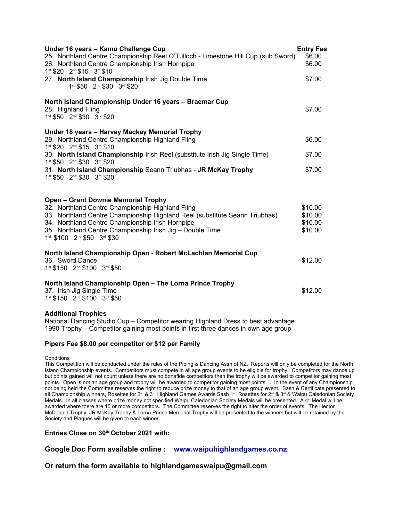| Under 16 years - Kamo Challenge Cup<br>25. Northland Centre Championship Reel O'Tulloch - Limestone Hill Cup (sub Sword)<br>26. Northland Centre Championship Irish Hornpipe<br>1st \$20 2nd \$15 3rd \$10 | <b>Entry Fee</b><br>\$6.00<br>\$6.00 |
|------------------------------------------------------------------------------------------------------------------------------------------------------------------------------------------------------------|--------------------------------------|
| 27. North Island Championship Irish Jig Double Time<br>1st \$50 2nd \$30 3rd \$20                                                                                                                          | \$7.00                               |
| North Island Championship Under 16 years - Braemar Cup<br>28. Highland Fling<br>1st \$50 2nd \$30 3rd \$20                                                                                                 | \$7.00                               |
| Under 18 years - Harvey Mackay Memorial Trophy<br>29. Northland Centre Championship Highland Fling<br>1st \$20 2nd \$15 3rd \$10                                                                           | \$6.00                               |
| 30. North Island Championship Irish Reel (substitute Irish Jig Single Time)<br>1st \$50 2nd \$30 3rd \$20                                                                                                  | \$7.00                               |
| 31. North Island Championship Seann Triubhas - JR McKay Trophy<br>1st \$50 2nd \$30 3rd \$20                                                                                                               | \$7.00                               |
| <b>Open - Grant Downie Memorial Trophy</b><br>32. Northland Centre Championship Highland Fling                                                                                                             | \$10.00                              |
| 33. Northland Centre Championship Highland Reel (substitute Seann Triubhas)                                                                                                                                | \$10.00                              |
| 34. Northland Centre Championship Irish Hornpipe<br>35. Northland Centre Championship Irish Jig - Double Time<br>1st \$100 2nd \$50 3rd \$30                                                               | \$10.00<br>\$10.00                   |
| North Island Championship Open - Robert McLachlan Memorial Cup<br>36. Sword Dance<br>1st \$150 2nd \$100 3rd \$50                                                                                          | \$12.00                              |
| North Island Championship Open - The Lorna Prince Trophy<br>37. Irish Jig Single Time<br>1st \$150 2nd \$100 3rd \$50                                                                                      | \$12.00                              |
| <b>Additional Trophies</b>                                                                                                                                                                                 |                                      |

National Dancing Studio Cup – Competitor wearing Highland Dress to best advantage 1990 Trophy – Competitor gaining most points in first three dances in own age group

#### **Pipers Fee \$8.00 per competitor or \$12 per Family**

**Conditions** 

This Competition will be conducted under the rules of the Piping & Dancing Assn of NZ. Reports will only be completed for the North Island Championship events. Competitors must compete in all age group events to be eligible for trophy. Competitors may dance up but points gained will not count unless there are no bonafide competitors then the trophy will be awarded to competitor gaining most points. Open is not an age group and trophy will be awarded to competitor gaining most points. . In the event of any Championship not being held the Committee reserves the right to reduce prize money to that of an age group event. Sash & Certificate presented to all Championship winners, Rosettes for 2<sup>nd</sup> & 3<sup>rd</sup> Highland Games Awards Sash 1<sup>st</sup>, Rosettes for 2<sup>nd</sup> & 3<sup>rd</sup> & Waipu Caledonian Society Medals. In all classes where prize money not specified Waipu Caledonian Society Medals will be presented. A 4<sup>th</sup> Medal will be awarded where there are 15 or more competitors. The Committee reserves the right to alter the order of events. The Hector McDonald Trophy, JR McKay Trophy & Lorna Prince Memorial Trophy will be presented to the winners but will be retained by the Society and Plaques will be given to each winner.

**Entries Close on 30th October 2021 with:**

**Google Doc Form available online : www.waipuhighlandgames.co.nz**

**Or return the form available to highlandgameswaipu@gmail.com**